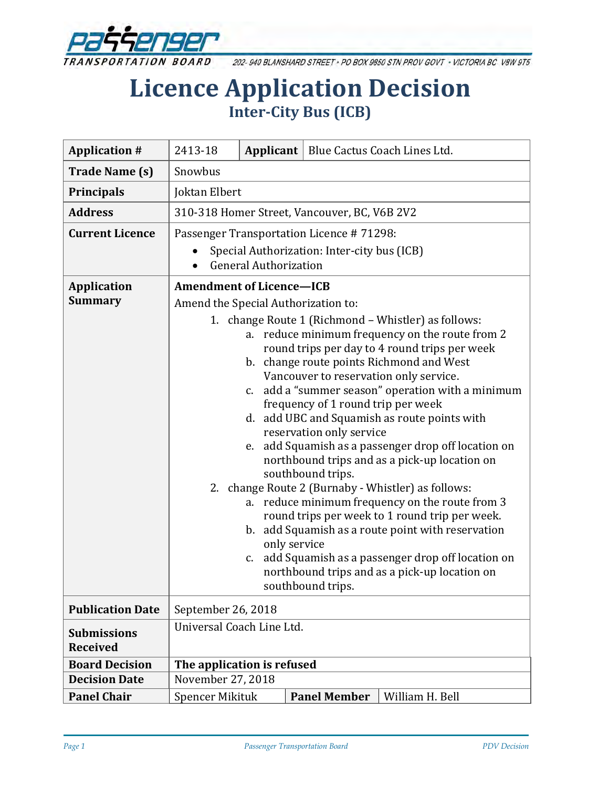

202-940 BLANSHARD STREET . PO BOX 9850 STN PROV GOVT . VICTORIA BC V8W 9T5

# **Licence Application Decision Inter-City Bus (ICB)**

| <b>Application #</b>                  | 2413-18                                                                                                                                                                                                                                                                                                                                                                                                                                                                                                                                                                                                                                                                                                                                                                                                                                                                                                                          |  | Applicant   Blue Cactus Coach Lines Ltd. |                 |
|---------------------------------------|----------------------------------------------------------------------------------------------------------------------------------------------------------------------------------------------------------------------------------------------------------------------------------------------------------------------------------------------------------------------------------------------------------------------------------------------------------------------------------------------------------------------------------------------------------------------------------------------------------------------------------------------------------------------------------------------------------------------------------------------------------------------------------------------------------------------------------------------------------------------------------------------------------------------------------|--|------------------------------------------|-----------------|
| <b>Trade Name (s)</b>                 | Snowbus                                                                                                                                                                                                                                                                                                                                                                                                                                                                                                                                                                                                                                                                                                                                                                                                                                                                                                                          |  |                                          |                 |
| <b>Principals</b>                     | Joktan Elbert                                                                                                                                                                                                                                                                                                                                                                                                                                                                                                                                                                                                                                                                                                                                                                                                                                                                                                                    |  |                                          |                 |
| <b>Address</b>                        | 310-318 Homer Street, Vancouver, BC, V6B 2V2                                                                                                                                                                                                                                                                                                                                                                                                                                                                                                                                                                                                                                                                                                                                                                                                                                                                                     |  |                                          |                 |
| <b>Current Licence</b>                | Passenger Transportation Licence #71298:                                                                                                                                                                                                                                                                                                                                                                                                                                                                                                                                                                                                                                                                                                                                                                                                                                                                                         |  |                                          |                 |
|                                       | Special Authorization: Inter-city bus (ICB)<br><b>General Authorization</b>                                                                                                                                                                                                                                                                                                                                                                                                                                                                                                                                                                                                                                                                                                                                                                                                                                                      |  |                                          |                 |
| <b>Application</b>                    | <b>Amendment of Licence-ICB</b>                                                                                                                                                                                                                                                                                                                                                                                                                                                                                                                                                                                                                                                                                                                                                                                                                                                                                                  |  |                                          |                 |
| <b>Summary</b>                        | Amend the Special Authorization to:                                                                                                                                                                                                                                                                                                                                                                                                                                                                                                                                                                                                                                                                                                                                                                                                                                                                                              |  |                                          |                 |
|                                       | 1. change Route 1 (Richmond - Whistler) as follows:<br>a. reduce minimum frequency on the route from 2<br>round trips per day to 4 round trips per week<br>b. change route points Richmond and West<br>Vancouver to reservation only service.<br>c. add a "summer season" operation with a minimum<br>frequency of 1 round trip per week<br>d. add UBC and Squamish as route points with<br>reservation only service<br>add Squamish as a passenger drop off location on<br>e.<br>northbound trips and as a pick-up location on<br>southbound trips.<br>2. change Route 2 (Burnaby - Whistler) as follows:<br>reduce minimum frequency on the route from 3<br>a.<br>round trips per week to 1 round trip per week.<br>b. add Squamish as a route point with reservation<br>only service<br>add Squamish as a passenger drop off location on<br>$C_{\cdot}$<br>northbound trips and as a pick-up location on<br>southbound trips. |  |                                          |                 |
| <b>Publication Date</b>               | September 26, 2018                                                                                                                                                                                                                                                                                                                                                                                                                                                                                                                                                                                                                                                                                                                                                                                                                                                                                                               |  |                                          |                 |
| <b>Submissions</b><br><b>Received</b> | Universal Coach Line Ltd.                                                                                                                                                                                                                                                                                                                                                                                                                                                                                                                                                                                                                                                                                                                                                                                                                                                                                                        |  |                                          |                 |
| <b>Board Decision</b>                 | The application is refused                                                                                                                                                                                                                                                                                                                                                                                                                                                                                                                                                                                                                                                                                                                                                                                                                                                                                                       |  |                                          |                 |
| <b>Decision Date</b>                  | November 27, 2018                                                                                                                                                                                                                                                                                                                                                                                                                                                                                                                                                                                                                                                                                                                                                                                                                                                                                                                |  |                                          |                 |
| <b>Panel Chair</b>                    | Spencer Mikituk                                                                                                                                                                                                                                                                                                                                                                                                                                                                                                                                                                                                                                                                                                                                                                                                                                                                                                                  |  | <b>Panel Member</b>                      | William H. Bell |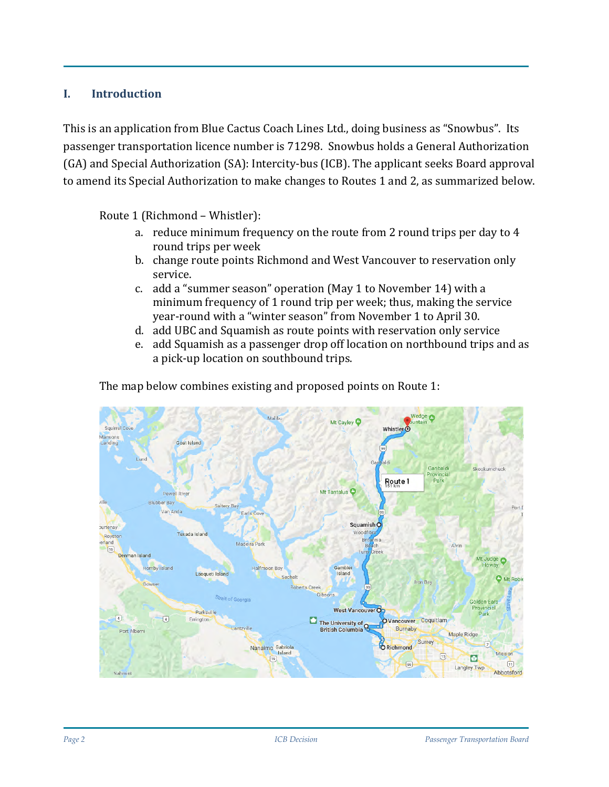#### **I. Introduction**

This is an application from Blue Cactus Coach Lines Ltd., doing business as "Snowbus". Its passenger transportation licence number is 71298. Snowbus holds a General Authorization (GA) and Special Authorization (SA): Intercity-bus (ICB). The applicant seeks Board approval to amend its Special Authorization to make changes to Routes 1 and 2, as summarized below.

Route 1 (Richmond – Whistler):

- a. reduce minimum frequency on the route from 2 round trips per day to 4 round trips per week
- b. change route points Richmond and West Vancouver to reservation only service.
- c. add a "summer season" operation (May 1 to November 14) with a minimum frequency of 1 round trip per week; thus, making the service year-round with a "winter season" from November 1 to April 30.
- d. add UBC and Squamish as route points with reservation only service
- e. add Squamish as a passenger drop off location on northbound trips and as a pick-up location on southbound trips.

The map below combines existing and proposed points on Route 1:

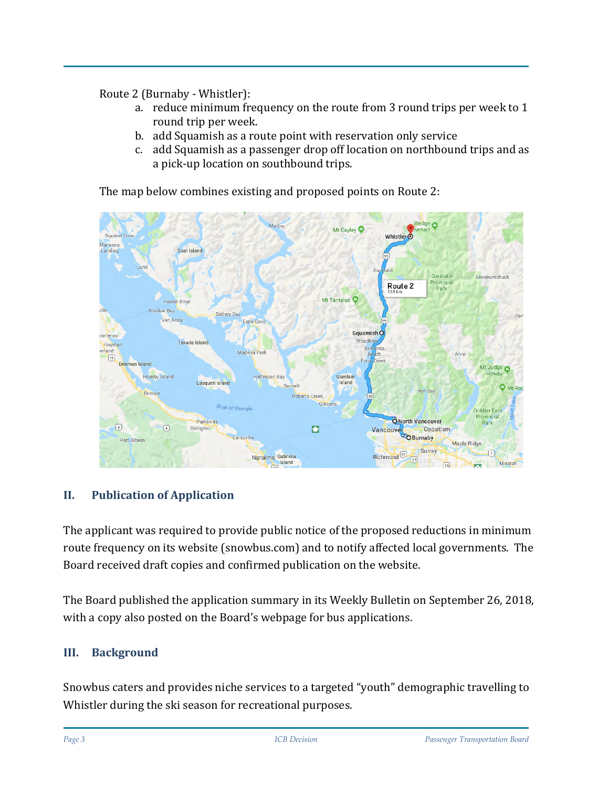Route 2 (Burnaby - Whistler):

- a. reduce minimum frequency on the route from 3 round trips per week to 1 round trip per week.
- b. add Squamish as a route point with reservation only service
- c. add Squamish as a passenger drop off location on northbound trips and as a pick-up location on southbound trips.

The map below combines existing and proposed points on Route 2:



#### **II. Publication of Application**

The applicant was required to provide public notice of the proposed reductions in minimum route frequency on its website (snowbus.com) and to notify affected local governments. The Board received draft copies and confirmed publication on the website.

The Board published the application summary in its Weekly Bulletin on September 26, 2018, with a copy also posted on the Board's webpage for bus applications.

#### **III. Background**

Snowbus caters and provides niche services to a targeted "youth" demographic travelling to Whistler during the ski season for recreational purposes.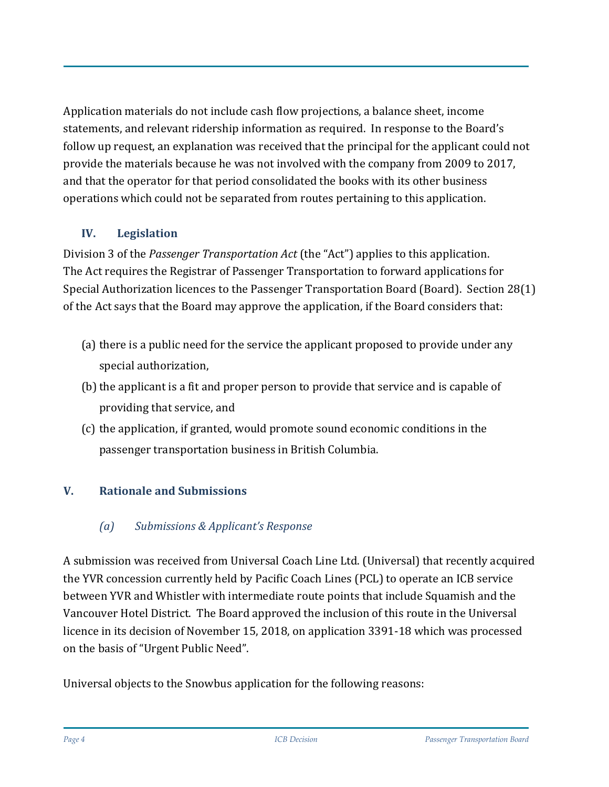Application materials do not include cash flow projections, a balance sheet, income statements, and relevant ridership information as required. In response to the Board's follow up request, an explanation was received that the principal for the applicant could not provide the materials because he was not involved with the company from 2009 to 2017, and that the operator for that period consolidated the books with its other business operations which could not be separated from routes pertaining to this application.

# **IV. Legislation**

Division 3 of the *Passenger Transportation Act* (the "Act") applies to this application. The Act requires the Registrar of Passenger Transportation to forward applications for Special Authorization licences to the Passenger Transportation Board (Board). Section 28(1) of the Act says that the Board may approve the application, if the Board considers that:

- (a) there is a public need for the service the applicant proposed to provide under any special authorization,
- (b) the applicant is a fit and proper person to provide that service and is capable of providing that service, and
- (c) the application, if granted, would promote sound economic conditions in the passenger transportation business in British Columbia.

# **V. Rationale and Submissions**

# *(a) Submissions & Applicant's Response*

A submission was received from Universal Coach Line Ltd. (Universal) that recently acquired the YVR concession currently held by Pacific Coach Lines (PCL) to operate an ICB service between YVR and Whistler with intermediate route points that include Squamish and the Vancouver Hotel District. The Board approved the inclusion of this route in the Universal licence in its decision of November 15, 2018, on application 3391-18 which was processed on the basis of "Urgent Public Need".

Universal objects to the Snowbus application for the following reasons: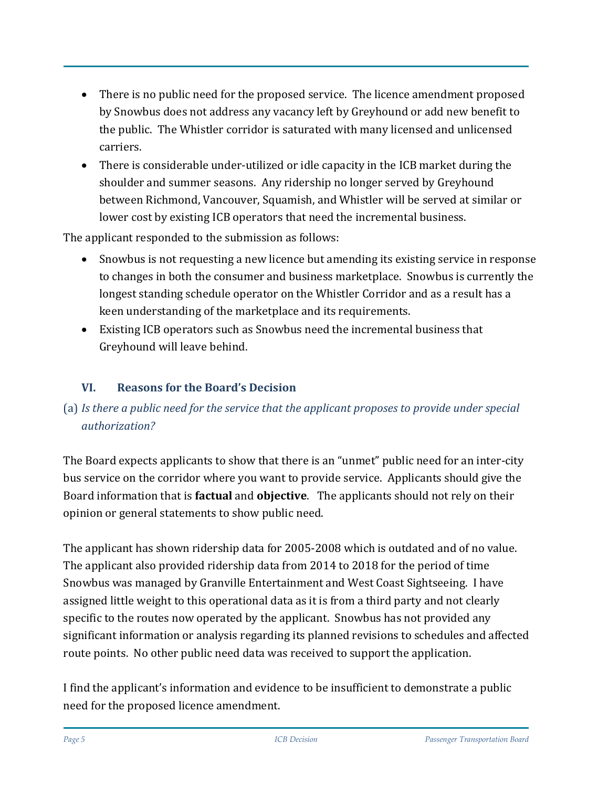- There is no public need for the proposed service. The licence amendment proposed by Snowbus does not address any vacancy left by Greyhound or add new benefit to the public. The Whistler corridor is saturated with many licensed and unlicensed carriers.
- There is considerable under-utilized or idle capacity in the ICB market during the shoulder and summer seasons. Any ridership no longer served by Greyhound between Richmond, Vancouver, Squamish, and Whistler will be served at similar or lower cost by existing ICB operators that need the incremental business.

The applicant responded to the submission as follows:

- Snowbus is not requesting a new licence but amending its existing service in response to changes in both the consumer and business marketplace. Snowbus is currently the longest standing schedule operator on the Whistler Corridor and as a result has a keen understanding of the marketplace and its requirements.
- Existing ICB operators such as Snowbus need the incremental business that Greyhound will leave behind.

### **VI. Reasons for the Board's Decision**

# (a) *Is there a public need for the service that the applicant proposes to provide under special authorization?*

The Board expects applicants to show that there is an "unmet" public need for an inter-city bus service on the corridor where you want to provide service. Applicants should give the Board information that is **factual** and **objective**. The applicants should not rely on their opinion or general statements to show public need.

The applicant has shown ridership data for 2005-2008 which is outdated and of no value. The applicant also provided ridership data from 2014 to 2018 for the period of time Snowbus was managed by Granville Entertainment and West Coast Sightseeing. I have assigned little weight to this operational data as it is from a third party and not clearly specific to the routes now operated by the applicant. Snowbus has not provided any significant information or analysis regarding its planned revisions to schedules and affected route points. No other public need data was received to support the application.

I find the applicant's information and evidence to be insufficient to demonstrate a public need for the proposed licence amendment.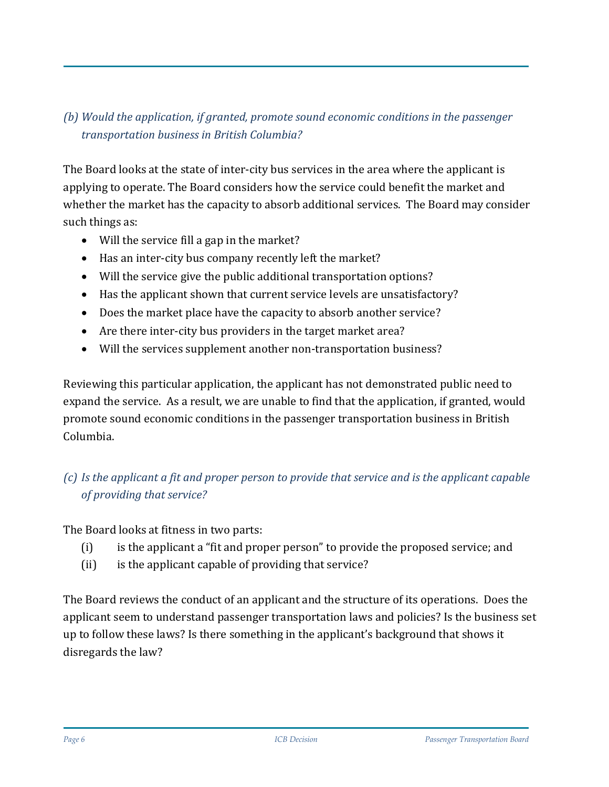# *(b) Would the application, if granted, promote sound economic conditions in the passenger transportation business in British Columbia?*

The Board looks at the state of inter-city bus services in the area where the applicant is applying to operate. The Board considers how the service could benefit the market and whether the market has the capacity to absorb additional services. The Board may consider such things as:

- Will the service fill a gap in the market?
- Has an inter-city bus company recently left the market?
- Will the service give the public additional transportation options?
- Has the applicant shown that current service levels are unsatisfactory?
- Does the market place have the capacity to absorb another service?
- Are there inter-city bus providers in the target market area?
- Will the services supplement another non-transportation business?

Reviewing this particular application, the applicant has not demonstrated public need to expand the service. As a result, we are unable to find that the application, if granted, would promote sound economic conditions in the passenger transportation business in British Columbia.

### *(c) Is the applicant a fit and proper person to provide that service and is the applicant capable of providing that service?*

The Board looks at fitness in two parts:

- (i) is the applicant a "fit and proper person" to provide the proposed service; and
- (ii) is the applicant capable of providing that service?

The Board reviews the conduct of an applicant and the structure of its operations. Does the applicant seem to understand passenger transportation laws and policies? Is the business set up to follow these laws? Is there something in the applicant's background that shows it disregards the law?